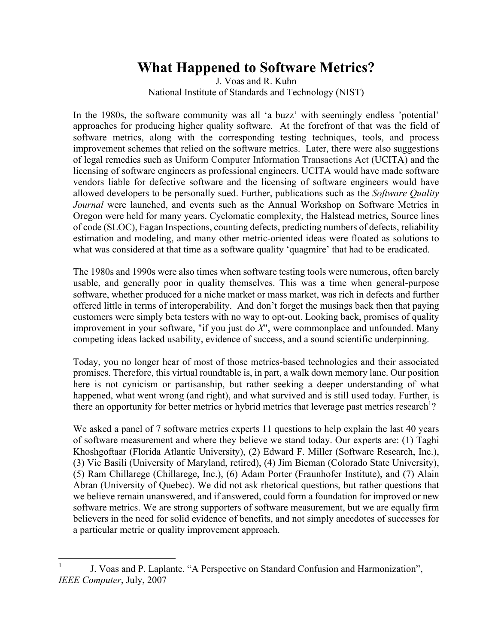# **What Happened to Software Metrics?**

J. Voas and R. Kuhn National Institute of Standards and Technology (NIST)

 In the 1980s, the software community was all 'a buzz' with seemingly endless 'potential' approaches for producing higher quality software. At the forefront of that was the field of software metrics, along with the corresponding testing techniques, tools, and process improvement schemes that relied on the software metrics. Later, there were also suggestions of legal remedies such as Uniform Computer Information Transactions Act (UCITA) and the licensing of software engineers as professional engineers. UCITA would have made software vendors liable for defective software and the licensing of software engineers would have allowed developers to be personally sued. Further, publications such as the *Software Quality Journal* were launched, and events such as the Annual Workshop on Software Metrics in Oregon were held for many years. Cyclomatic complexity, the Halstead metrics, Source lines estimation and modeling, and many other metric-oriented ideas were floated as solutions to of code (SLOC), Fagan Inspections, counting defects, predicting numbers of defects, reliability what was considered at that time as a software quality 'quagmire' that had to be eradicated.

 The 1980s and 1990s were also times when software testing tools were numerous, often barely usable, and generally poor in quality themselves. This was a time when general-purpose software, whether produced for a niche market or mass market, was rich in defects and further offered little in terms of interoperability. And don't forget the musings back then that paying customers were simply beta testers with no way to opt-out. Looking back, promises of quality improvement in your software, "if you just do *X*", were commonplace and unfounded. Many competing ideas lacked usability, evidence of success, and a sound scientific underpinning.

 Today, you no longer hear of most of those metrics-based technologies and their associated promises. Therefore, this virtual roundtable is, in part, a walk down memory lane. Our position here is not cynicism or partisanship, but rather seeking a deeper understanding of what happened, what went wrong (and right), and what survived and is still used today. Further, is there an opportunity for better metrics or hybrid metrics that leverage past metrics research<sup>1</sup>?

We asked a panel of 7 software metrics experts 11 questions to help explain the last 40 years of software measurement and where they believe we stand today. Our experts are: (1) Taghi Khoshgoftaar (Florida Atlantic University), (2) Edward F. Miller (Software Research, Inc.), (3) Vic Basili (University of Maryland, retired), (4) Jim Bieman (Colorado State University), (5) Ram Chillarege (Chillarege, Inc.), (6) Adam Porter (Fraunhofer Institute), and (7) Alain Abran (University of Quebec). We did not ask rhetorical questions, but rather questions that we believe remain unanswered, and if answered, could form a foundation for improved or new software metrics. We are strong supporters of software measurement, but we are equally firm believers in the need for solid evidence of benefits, and not simply anecdotes of successes for a particular metric or quality improvement approach.

 $\overline{a}$ 

J. Voas and P. Laplante. "A Perspective on Standard Confusion and Harmonization", *IEEE Computer*, July, 2007 1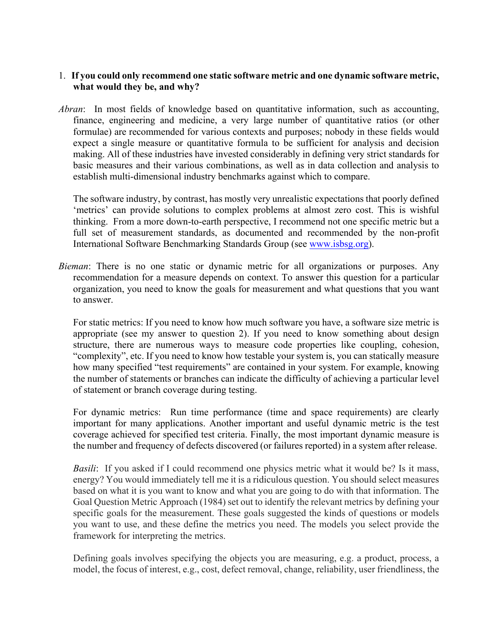#### 1. If you could only recommend one static software metric and one dynamic software metric, **what would they be, and why?**

 *Abran*: In most fields of knowledge based on quantitative information, such as accounting, finance, engineering and medicine, a very large number of quantitative ratios (or other formulae) are recommended for various contexts and purposes; nobody in these fields would expect a single measure or quantitative formula to be sufficient for analysis and decision making. All of these industries have invested considerably in defining very strict standards for basic measures and their various combinations, as well as in data collection and analysis to establish multi-dimensional industry benchmarks against which to compare.

 'metrics' can provide solutions to complex problems at almost zero cost. This is wishful thinking. From a more down-to-earth perspective, I recommend not one specific metric but a full set of measurement standards, as documented and recommended by the non-profit The software industry, by contrast, has mostly very unrealistic expectations that poorly defined International Software Benchmarking Standards Group (see www.isbsg.org).

 *Bieman*: There is no one static or dynamic metric for all organizations or purposes. Any recommendation for a measure depends on context. To answer this question for a particular organization, you need to know the goals for measurement and what questions that you want to answer.

 appropriate (see my answer to question 2). If you need to know something about design structure, there are numerous ways to measure code properties like coupling, cohesion, "complexity", etc. If you need to know how testable your system is, you can statically measure how many specified "test requirements" are contained in your system. For example, knowing the number of statements or branches can indicate the difficulty of achieving a particular level For static metrics: If you need to know how much software you have, a software size metric is of statement or branch coverage during testing.

 For dynamic metrics: Run time performance (time and space requirements) are clearly important for many applications. Another important and useful dynamic metric is the test coverage achieved for specified test criteria. Finally, the most important dynamic measure is the number and frequency of defects discovered (or failures reported) in a system after release.

 *Basili*: If you asked if I could recommend one physics metric what it would be? Is it mass, energy? You would immediately tell me it is a ridiculous question. You should select measures based on what it is you want to know and what you are going to do with that information. The Goal Question Metric Approach (1984) set out to identify the relevant metrics by defining your specific goals for the measurement. These goals suggested the kinds of questions or models you want to use, and these define the metrics you need. The models you select provide the framework for interpreting the metrics.

 Defining goals involves specifying the objects you are measuring, e.g. a product, process, a model, the focus of interest, e.g., cost, defect removal, change, reliability, user friendliness, the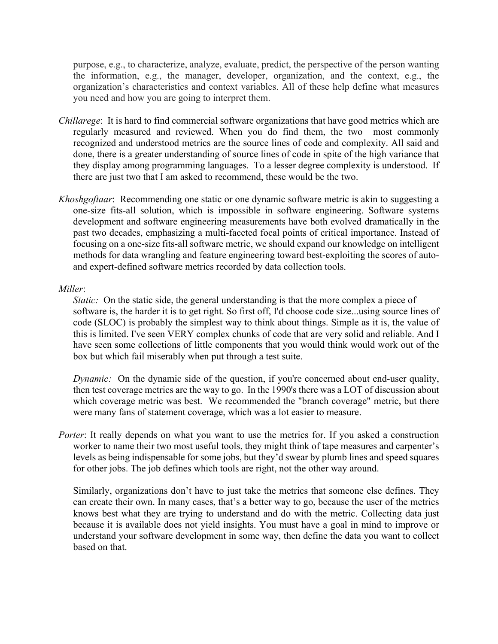purpose, e.g., to characterize, analyze, evaluate, predict, the perspective of the person wanting organization's characteristics and context variables. All of these help define what measures the information, e.g., the manager, developer, organization, and the context, e.g., the you need and how you are going to interpret them.

- *Chillarege*: It is hard to find commercial software organizations that have good metrics which are regularly measured and reviewed. When you do find them, the two most commonly recognized and understood metrics are the source lines of code and complexity. All said and done, there is a greater understanding of source lines of code in spite of the high variance that they display among programming languages. To a lesser degree complexity is understood. If there are just two that I am asked to recommend, these would be the two.
- *Khoshgoftaar*: Recommending one static or one dynamic software metric is akin to suggesting a one-size fits-all solution, which is impossible in software engineering. Software systems development and software engineering measurements have both evolved dramatically in the past two decades, emphasizing a multi-faceted focal points of critical importance. Instead of focusing on a one-size fits-all software metric, we should expand our knowledge on intelligent methods for data wrangling and feature engineering toward best-exploiting the scores of autoand expert-defined software metrics recorded by data collection tools.

#### *Miller*:

*Static:* On the static side, the general understanding is that the more complex a piece of software is, the harder it is to get right. So first off, I'd choose code size...using source lines of code (SLOC) is probably the simplest way to think about things. Simple as it is, the value of this is limited. I've seen VERY complex chunks of code that are very solid and reliable. And I have seen some collections of little components that you would think would work out of the box but which fail miserably when put through a test suite.

 *Dynamic:* On the dynamic side of the question, if you're concerned about end-user quality, then test coverage metrics are the way to go. In the 1990's there was a LOT of discussion about which coverage metric was best. We recommended the "branch coverage" metric, but there were many fans of statement coverage, which was a lot easier to measure.

 *Porter*: It really depends on what you want to use the metrics for. If you asked a construction worker to name their two most useful tools, they might think of tape measures and carpenter's levels as being indispensable for some jobs, but they'd swear by plumb lines and speed squares for other jobs. The job defines which tools are right, not the other way around.

 Similarly, organizations don't have to just take the metrics that someone else defines. They can create their own. In many cases, that's a better way to go, because the user of the metrics knows best what they are trying to understand and do with the metric. Collecting data just because it is available does not yield insights. You must have a goal in mind to improve or understand your software development in some way, then define the data you want to collect based on that.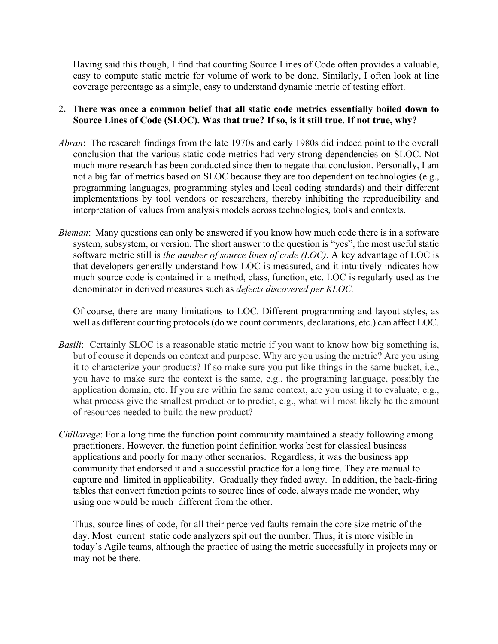Having said this though, I find that counting Source Lines of Code often provides a valuable, easy to compute static metric for volume of work to be done. Similarly, I often look at line coverage percentage as a simple, easy to understand dynamic metric of testing effort.

### 2**. There was once a common belief that all static code metrics essentially boiled down to Source Lines of Code (SLOC). Was that true? If so, is it still true. If not true, why?**

- *Abran*: The research findings from the late 1970s and early 1980s did indeed point to the overall conclusion that the various static code metrics had very strong dependencies on SLOC. Not much more research has been conducted since then to negate that conclusion. Personally, I am not a big fan of metrics based on SLOC because they are too dependent on technologies (e.g., programming languages, programming styles and local coding standards) and their different implementations by tool vendors or researchers, thereby inhibiting the reproducibility and interpretation of values from analysis models across technologies, tools and contexts.
- *Bieman*: Many questions can only be answered if you know how much code there is in a software system, subsystem, or version. The short answer to the question is "yes", the most useful static software metric still is *the number of source lines of code (LOC)*. A key advantage of LOC is that developers generally understand how LOC is measured, and it intuitively indicates how much source code is contained in a method, class, function, etc. LOC is regularly used as the denominator in derived measures such as *defects discovered per KLOC.*

 Of course, there are many limitations to LOC. Different programming and layout styles, as well as different counting protocols (do we count comments, declarations, etc.) can affect LOC.

- *Basili*: Certainly SLOC is a reasonable static metric if you want to know how big something is, but of course it depends on context and purpose. Why are you using the metric? Are you using it to characterize your products? If so make sure you put like things in the same bucket, i.e., you have to make sure the context is the same, e.g., the programing language, possibly the application domain, etc. If you are within the same context, are you using it to evaluate, e.g., what process give the smallest product or to predict, e.g., what will most likely be the amount of resources needed to build the new product?
- *Chillarege*: For a long time the function point community maintained a steady following among practitioners. However, the function point definition works best for classical business applications and poorly for many other scenarios. Regardless, it was the business app community that endorsed it and a successful practice for a long time. They are manual to capture and limited in applicability. Gradually they faded away. In addition, the back-firing tables that convert function points to source lines of code, always made me wonder, why using one would be much different from the other.

Thus, source lines of code, for all their perceived faults remain the core size metric of the day. Most current static code analyzers spit out the number. Thus, it is more visible in today's Agile teams, although the practice of using the metric successfully in projects may or may not be there.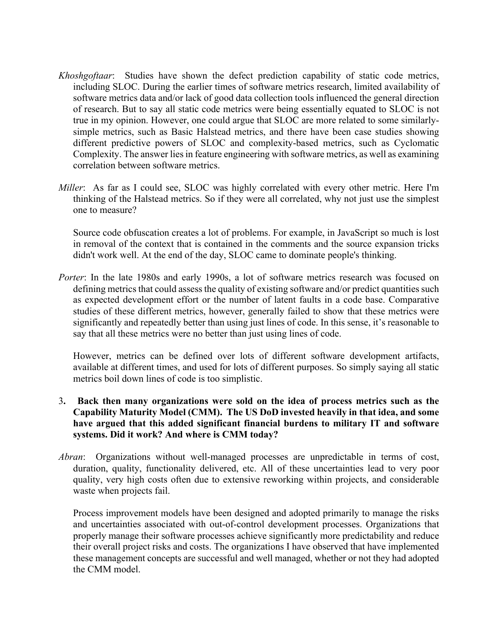- *Khoshgoftaar*: Studies have shown the defect prediction capability of static code metrics, including SLOC. During the earlier times of software metrics research, limited availability of software metrics data and/or lack of good data collection tools influenced the general direction of research. But to say all static code metrics were being essentially equated to SLOC is not true in my opinion. However, one could argue that SLOC are more related to some similarly- simple metrics, such as Basic Halstead metrics, and there have been case studies showing different predictive powers of SLOC and complexity-based metrics, such as Cyclomatic Complexity. The answer lies in feature engineering with software metrics, as well as examining correlation between software metrics.
- *Miller*: As far as I could see, SLOC was highly correlated with every other metric. Here I'm thinking of the Halstead metrics. So if they were all correlated, why not just use the simplest one to measure?

 in removal of the context that is contained in the comments and the source expansion tricks Source code obfuscation creates a lot of problems. For example, in JavaScript so much is lost didn't work well. At the end of the day, SLOC came to dominate people's thinking.

 *Porter*: In the late 1980s and early 1990s, a lot of software metrics research was focused on defining metrics that could assess the quality of existing software and/or predict quantities such as expected development effort or the number of latent faults in a code base. Comparative studies of these different metrics, however, generally failed to show that these metrics were significantly and repeatedly better than using just lines of code. In this sense, it's reasonable to say that all these metrics were no better than just using lines of code.

 However, metrics can be defined over lots of different software development artifacts, available at different times, and used for lots of different purposes. So simply saying all static metrics boil down lines of code is too simplistic.

- 3**. Back then many organizations were sold on the idea of process metrics such as the Capability Maturity Model (CMM). The US DoD invested heavily in that idea, and some have argued that this added significant financial burdens to military IT and software systems. Did it work? And where is CMM today?**
- *Abran*: Organizations without well-managed processes are unpredictable in terms of cost, duration, quality, functionality delivered, etc. All of these uncertainties lead to very poor quality, very high costs often due to extensive reworking within projects, and considerable waste when projects fail.

 and uncertainties associated with out-of-control development processes. Organizations that properly manage their software processes achieve significantly more predictability and reduce their overall project risks and costs. The organizations I have observed that have implemented these management concepts are successful and well managed, whether or not they had adopted Process improvement models have been designed and adopted primarily to manage the risks the CMM model.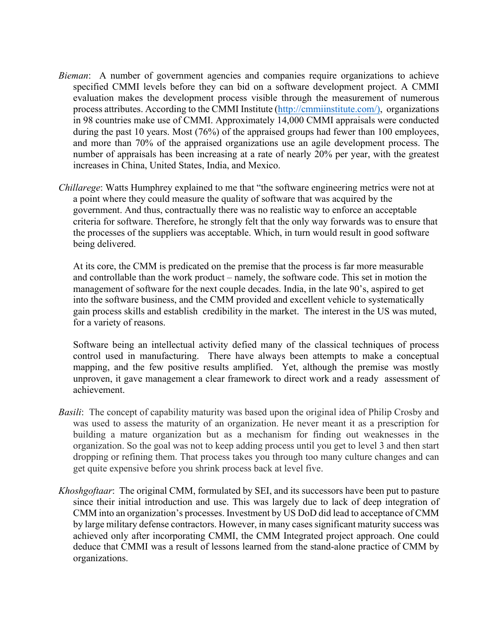- *Bieman*: A number of government agencies and companies require organizations to achieve specified CMMI levels before they can bid on a software development project. A CMMI evaluation makes the development process visible through the measurement of numerous in 98 countries make use of CMMI. Approximately 14,000 CMMI appraisals were conducted during the past 10 years. Most (76%) of the appraised groups had fewer than 100 employees, and more than 70% of the appraised organizations use an agile development process. The number of appraisals has been increasing at a rate of nearly 20% per year, with the greatest process attributes. According to the CMMI Institute (http://cmmiinstitute.com/), organizations increases in China, United States, India, and Mexico.
- *Chillarege*: Watts Humphrey explained to me that "the software engineering metrics were not at a point where they could measure the quality of software that was acquired by the government. And thus, contractually there was no realistic way to enforce an acceptable criteria for software. Therefore, he strongly felt that the only way forwards was to ensure that the processes of the suppliers was acceptable. Which, in turn would result in good software being delivered.

 and controllable than the work product – namely, the software code. This set in motion the At its core, the CMM is predicated on the premise that the process is far more measurable management of software for the next couple decades. India, in the late 90's, aspired to get into the software business, and the CMM provided and excellent vehicle to systematically gain process skills and establish credibility in the market. The interest in the US was muted, for a variety of reasons.

 control used in manufacturing. There have always been attempts to make a conceptual mapping, and the few positive results amplified. Yet, although the premise was mostly unproven, it gave management a clear framework to direct work and a ready assessment of Software being an intellectual activity defied many of the classical techniques of process achievement.

- *Basili*: The concept of capability maturity was based upon the original idea of Philip Crosby and was used to assess the maturity of an organization. He never meant it as a prescription for building a mature organization but as a mechanism for finding out weaknesses in the organization. So the goal was not to keep adding process until you get to level 3 and then start dropping or refining them. That process takes you through too many culture changes and can get quite expensive before you shrink process back at level five.
- *Khoshgoftaar*: The original CMM, formulated by SEI, and its successors have been put to pasture since their initial introduction and use. This was largely due to lack of deep integration of CMM into an organization's processes. Investment by US DoD did lead to acceptance of CMM by large military defense contractors. However, in many cases significant maturity success was achieved only after incorporating CMMI, the CMM Integrated project approach. One could deduce that CMMI was a result of lessons learned from the stand-alone practice of CMM by organizations.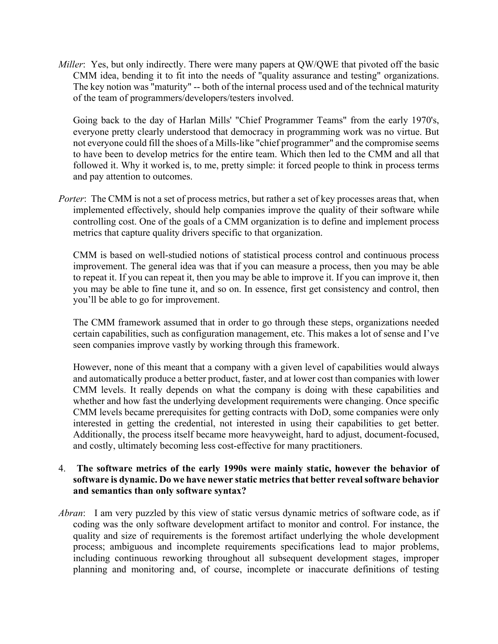*Miller*: Yes, but only indirectly. There were many papers at QW/QWE that pivoted off the basic CMM idea, bending it to fit into the needs of "quality assurance and testing" organizations. The key notion was "maturity" -- both of the internal process used and of the technical maturity of the team of programmers/developers/testers involved.

 Going back to the day of Harlan Mills' "Chief Programmer Teams" from the early 1970's, not everyone could fill the shoes of a Mills-like "chief programmer" and the compromise seems to have been to develop metrics for the entire team. Which then led to the CMM and all that followed it. Why it worked is, to me, pretty simple: it forced people to think in process terms everyone pretty clearly understood that democracy in programming work was no virtue. But and pay attention to outcomes.

 *Porter*: The CMM is not a set of process metrics, but rather a set of key processes areas that, when implemented effectively, should help companies improve the quality of their software while controlling cost. One of the goals of a CMM organization is to define and implement process metrics that capture quality drivers specific to that organization.

 improvement. The general idea was that if you can measure a process, then you may be able to repeat it. If you can repeat it, then you may be able to improve it. If you can improve it, then you may be able to fine tune it, and so on. In essence, first get consistency and control, then CMM is based on well-studied notions of statistical process control and continuous process you'll be able to go for improvement.

 certain capabilities, such as configuration management, etc. This makes a lot of sense and I've The CMM framework assumed that in order to go through these steps, organizations needed seen companies improve vastly by working through this framework.

 However, none of this meant that a company with a given level of capabilities would always and automatically produce a better product, faster, and at lower cost than companies with lower CMM levels. It really depends on what the company is doing with these capabilities and whether and how fast the underlying development requirements were changing. Once specific CMM levels became prerequisites for getting contracts with DoD, some companies were only interested in getting the credential, not interested in using their capabilities to get better. Additionally, the process itself became more heavyweight, hard to adjust, document-focused, and costly, ultimately becoming less cost-effective for many practitioners.

#### 4. **The software metrics of the early 1990s were mainly static, however the behavior of software is dynamic. Do we have newer static metrics that better reveal software behavior and semantics than only software syntax?**

 *Abran*: I am very puzzled by this view of static versus dynamic metrics of software code, as if coding was the only software development artifact to monitor and control. For instance, the quality and size of requirements is the foremost artifact underlying the whole development process; ambiguous and incomplete requirements specifications lead to major problems, including continuous reworking throughout all subsequent development stages, improper planning and monitoring and, of course, incomplete or inaccurate definitions of testing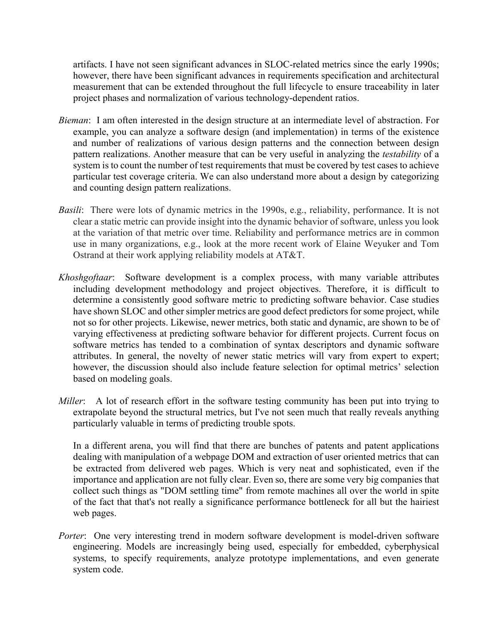artifacts. I have not seen significant advances in SLOC-related metrics since the early 1990s; however, there have been significant advances in requirements specification and architectural measurement that can be extended throughout the full lifecycle to ensure traceability in later project phases and normalization of various technology-dependent ratios.

- *Bieman*: I am often interested in the design structure at an intermediate level of abstraction. For example, you can analyze a software design (and implementation) in terms of the existence and number of realizations of various design patterns and the connection between design pattern realizations. Another measure that can be very useful in analyzing the *testability* of a system is to count the number of test requirements that must be covered by test cases to achieve particular test coverage criteria. We can also understand more about a design by categorizing and counting design pattern realizations.
- *Basili*: There were lots of dynamic metrics in the 1990s, e.g., reliability, performance. It is not clear a static metric can provide insight into the dynamic behavior of software, unless you look at the variation of that metric over time. Reliability and performance metrics are in common use in many organizations, e.g., look at the more recent work of Elaine Weyuker and Tom Ostrand at their work applying reliability models at AT&T.
- Khoshgoftaar: including development methodology and project objectives. Therefore, it is difficult to determine a consistently good software metric to predicting software behavior. Case studies have shown SLOC and other simpler metrics are good defect predictors for some project, while not so for other projects. Likewise, newer metrics, both static and dynamic, are shown to be of varying effectiveness at predicting software behavior for different projects. Current focus on software metrics has tended to a combination of syntax descriptors and dynamic software attributes. In general, the novelty of newer static metrics will vary from expert to expert; however, the discussion should also include feature selection for optimal metrics' selection Software development is a complex process, with many variable attributes based on modeling goals.
- *Miller*: A lot of research effort in the software testing community has been put into trying to extrapolate beyond the structural metrics, but I've not seen much that really reveals anything particularly valuable in terms of predicting trouble spots.

 In a different arena, you will find that there are bunches of patents and patent applications dealing with manipulation of a webpage DOM and extraction of user oriented metrics that can be extracted from delivered web pages. Which is very neat and sophisticated, even if the importance and application are not fully clear. Even so, there are some very big companies that collect such things as "DOM settling time" from remote machines all over the world in spite of the fact that that's not really a significance performance bottleneck for all but the hairiest web pages.

 *Porter*: One very interesting trend in modern software development is model-driven software engineering. Models are increasingly being used, especially for embedded, cyberphysical systems, to specify requirements, analyze prototype implementations, and even generate system code.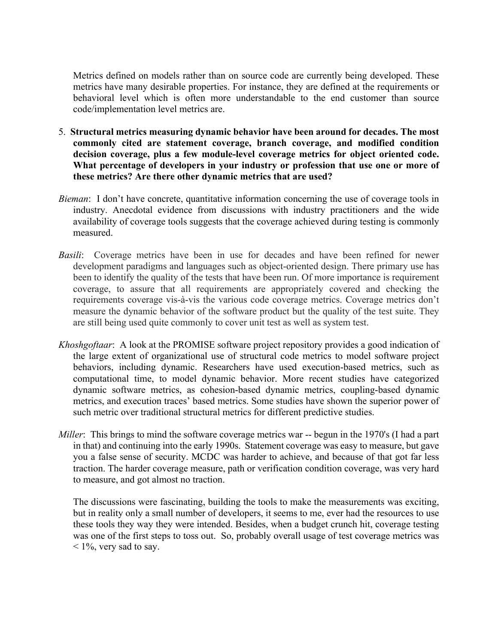metrics have many desirable properties. For instance, they are defined at the requirements or behavioral level which is often more understandable to the end customer than source Metrics defined on models rather than on source code are currently being developed. These code/implementation level metrics are.

- 5. **Structural metrics measuring dynamic behavior have been around for decades. The most commonly cited are statement coverage, branch coverage, and modified condition decision coverage, plus a few module-level coverage metrics for object oriented code.**  What percentage of developers in your industry or profession that use one or more of **these metrics? Are there other dynamic metrics that are used?**
- *Bieman*: I don't have concrete, quantitative information concerning the use of coverage tools in industry. Anecdotal evidence from discussions with industry practitioners and the wide availability of coverage tools suggests that the coverage achieved during testing is commonly measured.
- *Basili*: Coverage metrics have been in use for decades and have been refined for newer development paradigms and languages such as object-oriented design. There primary use has been to identify the quality of the tests that have been run. Of more importance is requirement coverage, to assure that all requirements are appropriately covered and checking the requirements coverage vis-à-vis the various code coverage metrics. Coverage metrics don't measure the dynamic behavior of the software product but the quality of the test suite. They are still being used quite commonly to cover unit test as well as system test.
- *Khoshgoftaar*: A look at the PROMISE software project repository provides a good indication of the large extent of organizational use of structural code metrics to model software project behaviors, including dynamic. Researchers have used execution-based metrics, such as computational time, to model dynamic behavior. More recent studies have categorized dynamic software metrics, as cohesion-based dynamic metrics, coupling-based dynamic metrics, and execution traces' based metrics. Some studies have shown the superior power of such metric over traditional structural metrics for different predictive studies.
- *Miller*: This brings to mind the software coverage metrics war -- begun in the 1970's (I had a part in that) and continuing into the early 1990s. Statement coverage was easy to measure, but gave you a false sense of security. MCDC was harder to achieve, and because of that got far less traction. The harder coverage measure, path or verification condition coverage, was very hard to measure, and got almost no traction.

 The discussions were fascinating, building the tools to make the measurements was exciting, but in reality only a small number of developers, it seems to me, ever had the resources to use these tools they way they were intended. Besides, when a budget crunch hit, coverage testing was one of the first steps to toss out. So, probably overall usage of test coverage metrics was  $\leq 1\%$ , very sad to say.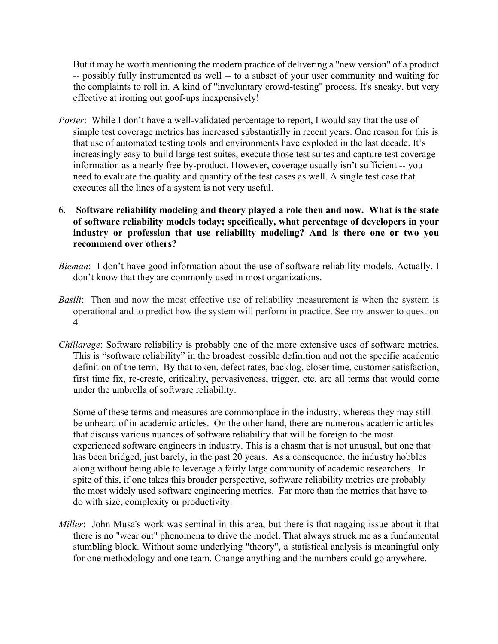-- possibly fully instrumented as well -- to a subset of your user community and waiting for the complaints to roll in. A kind of "involuntary crowd-testing" process. It's sneaky, but very But it may be worth mentioning the modern practice of delivering a "new version" of a product effective at ironing out goof-ups inexpensively!

- *Porter*: While I don't have a well-validated percentage to report, I would say that the use of information as a nearly free by-product. However, coverage usually isn't sufficient -- you simple test coverage metrics has increased substantially in recent years. One reason for this is that use of automated testing tools and environments have exploded in the last decade. It's increasingly easy to build large test suites, execute those test suites and capture test coverage need to evaluate the quality and quantity of the test cases as well. A single test case that executes all the lines of a system is not very useful.
- 6. **Software reliability modeling and theory played a role then and now. What is the state of software reliability models today; specifically, what percentage of developers in your industry or profession that use reliability modeling? And is there one or two you recommend over others?**
- *Bieman*: I don't have good information about the use of software reliability models. Actually, I don't know that they are commonly used in most organizations.
- *Basili*: Then and now the most effective use of reliability measurement is when the system is operational and to predict how the system will perform in practice. See my answer to question 4.
- *Chillarege*: Software reliability is probably one of the more extensive uses of software metrics. This is "software reliability" in the broadest possible definition and not the specific academic definition of the term. By that token, defect rates, backlog, closer time, customer satisfaction, first time fix, re-create, criticality, pervasiveness, trigger, etc. are all terms that would come under the umbrella of software reliability.

Some of these terms and measures are commonplace in the industry, whereas they may still be unheard of in academic articles. On the other hand, there are numerous academic articles that discuss various nuances of software reliability that will be foreign to the most experienced software engineers in industry. This is a chasm that is not unusual, but one that has been bridged, just barely, in the past 20 years. As a consequence, the industry hobbles along without being able to leverage a fairly large community of academic researchers. In spite of this, if one takes this broader perspective, software reliability metrics are probably the most widely used software engineering metrics. Far more than the metrics that have to do with size, complexity or productivity.

 *Miller*: John Musa's work was seminal in this area, but there is that nagging issue about it that there is no "wear out" phenomena to drive the model. That always struck me as a fundamental stumbling block. Without some underlying "theory", a statistical analysis is meaningful only for one methodology and one team. Change anything and the numbers could go anywhere.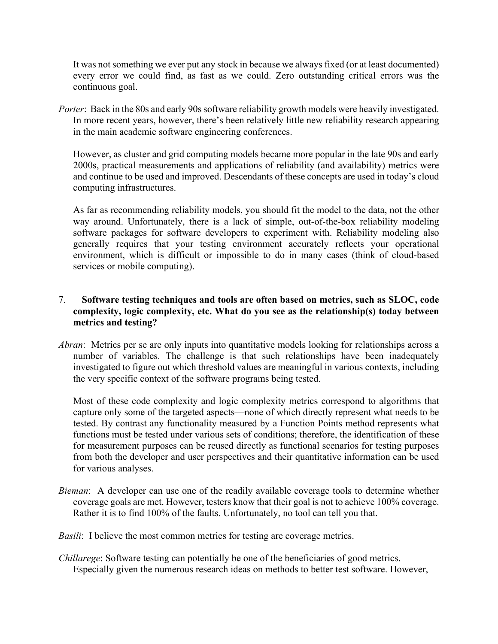every error we could find, as fast as we could. Zero outstanding critical errors was the It was not something we ever put any stock in because we always fixed (or at least documented) continuous goal.

 *Porter*: Back in the 80s and early 90s software reliability growth models were heavily investigated. In more recent years, however, there's been relatively little new reliability research appearing in the main academic software engineering conferences.

 However, as cluster and grid computing models became more popular in the late 90s and early 2000s, practical measurements and applications of reliability (and availability) metrics were and continue to be used and improved. Descendants of these concepts are used in today's cloud computing infrastructures.

 way around. Unfortunately, there is a lack of simple, out-of-the-box reliability modeling software packages for software developers to experiment with. Reliability modeling also generally requires that your testing environment accurately reflects your operational environment, which is difficult or impossible to do in many cases (think of cloud-based As far as recommending reliability models, you should fit the model to the data, not the other services or mobile computing).

#### $7.$  **complexity, logic complexity, etc. What do you see as the relationship(s) today between**  7. **Software testing techniques and tools are often based on metrics, such as SLOC, code metrics and testing?**

 *Abran*: Metrics per se are only inputs into quantitative models looking for relationships across a number of variables. The challenge is that such relationships have been inadequately investigated to figure out which threshold values are meaningful in various contexts, including the very specific context of the software programs being tested.

 capture only some of the targeted aspects—none of which directly represent what needs to be tested. By contrast any functionality measured by a Function Points method represents what functions must be tested under various sets of conditions; therefore, the identification of these for measurement purposes can be reused directly as functional scenarios for testing purposes from both the developer and user perspectives and their quantitative information can be used Most of these code complexity and logic complexity metrics correspond to algorithms that for various analyses.

 *Bieman*: A developer can use one of the readily available coverage tools to determine whether coverage goals are met. However, testers know that their goal is not to achieve 100% coverage. Rather it is to find 100% of the faults. Unfortunately, no tool can tell you that.

*Basili*: I believe the most common metrics for testing are coverage metrics.

*Chillarege*: Software testing can potentially be one of the beneficiaries of good metrics. Especially given the numerous research ideas on methods to better test software. However,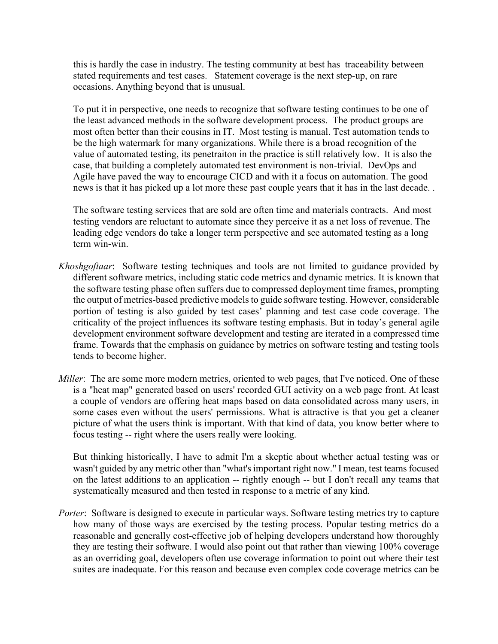this is hardly the case in industry. The testing community at best has traceability between stated requirements and test cases. Statement coverage is the next step-up, on rare occasions. Anything beyond that is unusual.

To put it in perspective, one needs to recognize that software testing continues to be one of the least advanced methods in the software development process. The product groups are most often better than their cousins in IT. Most testing is manual. Test automation tends to be the high watermark for many organizations. While there is a broad recognition of the value of automated testing, its penetraiton in the practice is still relatively low. It is also the case, that building a completely automated test environment is non-trivial. DevOps and Agile have paved the way to encourage CICD and with it a focus on automation. The good news is that it has picked up a lot more these past couple years that it has in the last decade. .

The software testing services that are sold are often time and materials contracts. And most testing vendors are reluctant to automate since they perceive it as a net loss of revenue. The leading edge vendors do take a longer term perspective and see automated testing as a long term win-win.

- *Khoshgoftaar*: Software testing techniques and tools are not limited to guidance provided by different software metrics, including static code metrics and dynamic metrics. It is known that the software testing phase often suffers due to compressed deployment time frames, prompting the output of metrics-based predictive models to guide software testing. However, considerable portion of testing is also guided by test cases' planning and test case code coverage. The criticality of the project influences its software testing emphasis. But in today's general agile development environment software development and testing are iterated in a compressed time frame. Towards that the emphasis on guidance by metrics on software testing and testing tools tends to become higher.
- *Miller*: The are some more modern metrics, oriented to web pages, that I've noticed. One of these is a "heat map" generated based on users' recorded GUI activity on a web page front. At least a couple of vendors are offering heat maps based on data consolidated across many users, in some cases even without the users' permissions. What is attractive is that you get a cleaner picture of what the users think is important. With that kind of data, you know better where to focus testing -- right where the users really were looking.

 wasn't guided by any metric other than "what's important right now." I mean, test teams focused on the latest additions to an application -- rightly enough -- but I don't recall any teams that But thinking historically, I have to admit I'm a skeptic about whether actual testing was or systematically measured and then tested in response to a metric of any kind.

 *Porter*: Software is designed to execute in particular ways. Software testing metrics try to capture how many of those ways are exercised by the testing process. Popular testing metrics do a they are testing their software. I would also point out that rather than viewing 100% coverage as an overriding goal, developers often use coverage information to point out where their test suites are inadequate. For this reason and because even complex code coverage metrics can be reasonable and generally cost-effective job of helping developers understand how thoroughly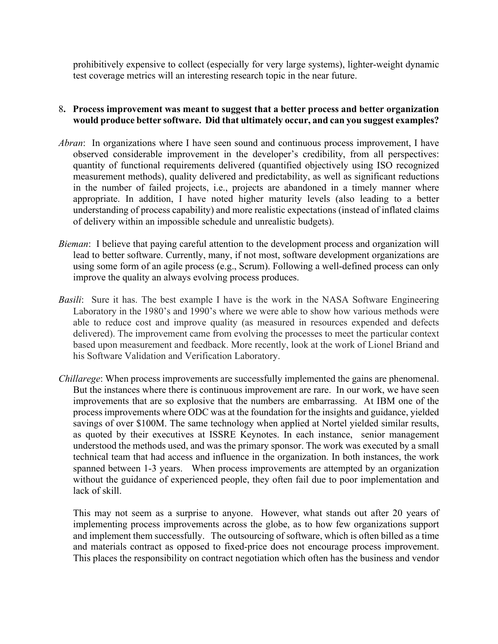prohibitively expensive to collect (especially for very large systems), lighter-weight dynamic test coverage metrics will an interesting research topic in the near future.

### 8**. Process improvement was meant to suggest that a better process and better organization would produce better software. Did that ultimately occur, and can you suggest examples?**

- *Abran*: In organizations where I have seen sound and continuous process improvement, I have observed considerable improvement in the developer's credibility, from all perspectives: measurement methods), quality delivered and predictability, as well as significant reductions in the number of failed projects, i.e., projects are abandoned in a timely manner where understanding of process capability) and more realistic expectations (instead of inflated claims quantity of functional requirements delivered (quantified objectively using ISO recognized appropriate. In addition, I have noted higher maturity levels (also leading to a better of delivery within an impossible schedule and unrealistic budgets).
- *Bieman*: I believe that paying careful attention to the development process and organization will lead to better software. Currently, many, if not most, software development organizations are using some form of an agile process (e.g., Scrum). Following a well-defined process can only improve the quality an always evolving process produces.
- *Basili*: Sure it has. The best example I have is the work in the NASA Software Engineering Laboratory in the 1980's and 1990's where we were able to show how various methods were able to reduce cost and improve quality (as measured in resources expended and defects delivered). The improvement came from evolving the processes to meet the particular context based upon measurement and feedback. More recently, look at the work of Lionel Briand and his Software Validation and Verification Laboratory.
- *Chillarege*: When process improvements are successfully implemented the gains are phenomenal. But the instances where there is continuous improvement are rare. In our work, we have seen improvements that are so explosive that the numbers are embarrassing. At IBM one of the process improvements where ODC was at the foundation for the insights and guidance, yielded savings of over \$100M. The same technology when applied at Nortel yielded similar results, as quoted by their executives at ISSRE Keynotes. In each instance, senior management understood the methods used, and was the primary sponsor. The work was executed by a small technical team that had access and influence in the organization. In both instances, the work spanned between 1-3 years. When process improvements are attempted by an organization without the guidance of experienced people, they often fail due to poor implementation and lack of skill.

 implementing process improvements across the globe, as to how few organizations support and implement them successfully. The outsourcing of software, which is often billed as a time and materials contract as opposed to fixed-price does not encourage process improvement. This places the responsibility on contract negotiation which often has the business and vendor This may not seem as a surprise to anyone. However, what stands out after 20 years of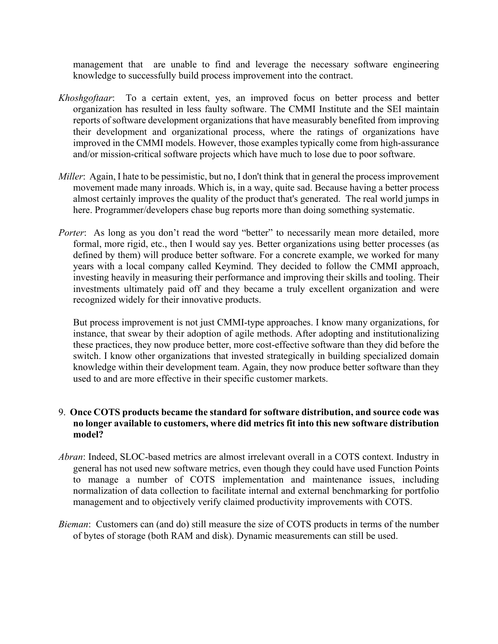management that are unable to find and leverage the necessary software engineering knowledge to successfully build process improvement into the contract.

- *Khoshgoftaar*: To a certain extent, yes, an improved focus on better process and better organization has resulted in less faulty software. The CMMI Institute and the SEI maintain reports of software development organizations that have measurably benefited from improving their development and organizational process, where the ratings of organizations have improved in the CMMI models. However, those examples typically come from high-assurance and/or mission-critical software projects which have much to lose due to poor software.
- *Miller*: Again, I hate to be pessimistic, but no, I don't think that in general the process improvement movement made many inroads. Which is, in a way, quite sad. Because having a better process almost certainly improves the quality of the product that's generated. The real world jumps in here. Programmer/developers chase bug reports more than doing something systematic.
- Porter: As long as you don't read the word "better" to necessarily mean more detailed, more formal, more rigid, etc., then I would say yes. Better organizations using better processes (as defined by them) will produce better software. For a concrete example, we worked for many years with a local company called Keymind. They decided to follow the CMMI approach, investments ultimately paid off and they became a truly excellent organization and were investing heavily in measuring their performance and improving their skills and tooling. Their recognized widely for their innovative products.

 these practices, they now produce better, more cost-effective software than they did before the switch. I know other organizations that invested strategically in building specialized domain knowledge within their development team. Again, they now produce better software than they But process improvement is not just CMMI-type approaches. I know many organizations, for instance, that swear by their adoption of agile methods. After adopting and institutionalizing used to and are more effective in their specific customer markets.

#### 9. **Once COTS products became the standard for software distribution, and source code was no longer available to customers, where did metrics fit into this new software distribution model?**

- *Abran*: Indeed, SLOC-based metrics are almost irrelevant overall in a COTS context. Industry in general has not used new software metrics, even though they could have used Function Points to manage a number of COTS implementation and maintenance issues, including normalization of data collection to facilitate internal and external benchmarking for portfolio management and to objectively verify claimed productivity improvements with COTS.
- *Bieman*: Customers can (and do) still measure the size of COTS products in terms of the number of bytes of storage (both RAM and disk). Dynamic measurements can still be used.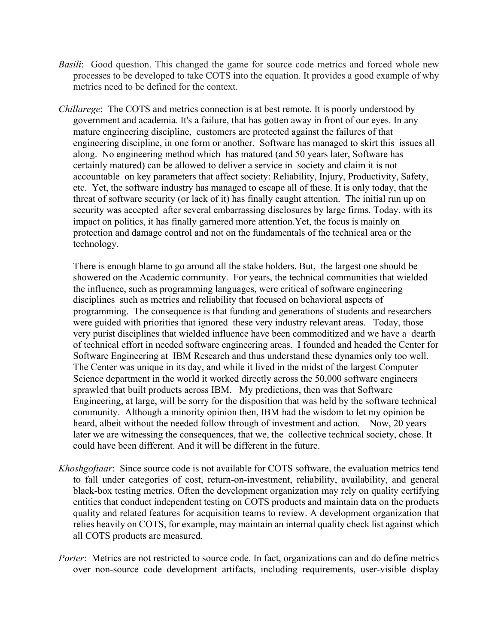- *Basili*: Good question. This changed the game for source code metrics and forced whole new processes to be developed to take COTS into the equation. It provides a good example of why metrics need to be defined for the context.
- *Chillarege*: The COTS and metrics connection is at best remote. It is poorly understood by certainly matured) can be allowed to deliver a service in society and claim it is not etc. Yet, the software industry has managed to escape all of these. It is only today, that the government and academia. It's a failure, that has gotten away in front of our eyes. In any mature engineering discipline, customers are protected against the failures of that engineering discipline, in one form or another. Software has managed to skirt this issues all along. No engineering method which has matured (and 50 years later, Software has accountable on key parameters that affect society: Reliability, Injury, Productivity, Safety, threat of software security (or lack of it) has finally caught attention. The initial run up on security was accepted after several embarrassing disclosures by large firms. Today, with its impact on politics, it has finally garnered more attention.Yet, the focus is mainly on protection and damage control and not on the fundamentals of the technical area or the technology.

 heard, albeit without the needed follow through of investment and action. Now, 20 years There is enough blame to go around all the stake holders. But, the largest one should be showered on the Academic community. For years, the technical communities that wielded the influence, such as programming languages, were critical of software engineering disciplines such as metrics and reliability that focused on behavioral aspects of programming. The consequence is that funding and generations of students and researchers were guided with priorities that ignored these very industry relevant areas. Today, those very purist disciplines that wielded influence have been commoditized and we have a dearth of technical effort in needed software engineering areas. I founded and headed the Center for Software Engineering at IBM Research and thus understand these dynamics only too well. The Center was unique in its day, and while it lived in the midst of the largest Computer Science department in the world it worked directly across the 50,000 software engineers sprawled that built products across IBM. My predictions, then was that Software Engineering, at large, will be sorry for the disposition that was held by the software technical community. Although a minority opinion then, IBM had the wisdom to let my opinion be later we are witnessing the consequences, that we, the collective technical society, chose. It could have been different. And it will be different in the future.

- *Khoshgoftaar*: Since source code is not available for COTS software, the evaluation metrics tend entities that conduct independent testing on COTS products and maintain data on the products relies heavily on COTS, for example, may maintain an internal quality check list against which to fall under categories of cost, return-on-investment, reliability, availability, and general black-box testing metrics. Often the development organization may rely on quality certifying quality and related features for acquisition teams to review. A development organization that all COTS products are measured.
- *Porter*: Metrics are not restricted to source code. In fact, organizations can and do define metrics over non-source code development artifacts, including requirements, user-visible display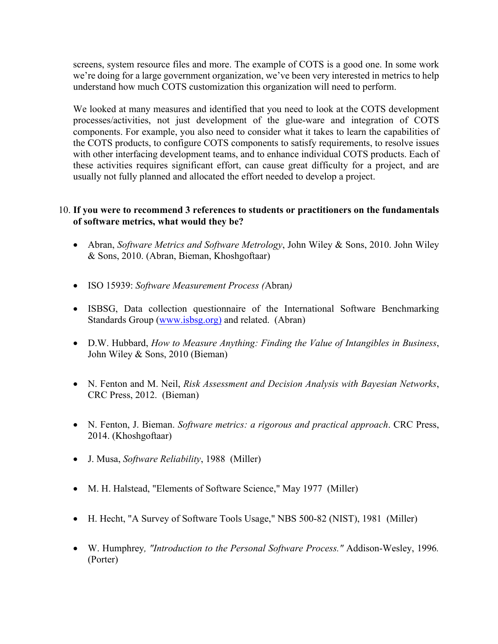screens, system resource files and more. The example of COTS is a good one. In some work we're doing for a large government organization, we've been very interested in metrics to help understand how much COTS customization this organization will need to perform.

 processes/activities, not just development of the glue-ware and integration of COTS components. For example, you also need to consider what it takes to learn the capabilities of the COTS products, to configure COTS components to satisfy requirements, to resolve issues with other interfacing development teams, and to enhance individual COTS products. Each of these activities requires significant effort, can cause great difficulty for a project, and are We looked at many measures and identified that you need to look at the COTS development usually not fully planned and allocated the effort needed to develop a project.

#### 10. **If you were to recommend 3 references to students or practitioners on the fundamentals of software metrics, what would they be?**

- Abran, *Software Metrics and Software Metrology*, John Wiley & Sons, 2010. John Wiley & Sons, 2010. (Abran, Bieman, Khoshgoftaar)
- • ISO 15939: *Software Measurement Process (*Abran*)*
- • ISBSG, Data collection questionnaire of the International Software Benchmarking Standards Group (www.isbsg.org) and related. (Abran)
- D.W. Hubbard, *How to Measure Anything: Finding the Value of Intangibles in Business*, John Wiley & Sons, 2010 (Bieman)
- N. Fenton and M. Neil, *Risk Assessment and Decision Analysis with Bayesian Networks*, CRC Press, 2012. (Bieman)
- • N. Fenton, J. Bieman. *Software metrics: a rigorous and practical approach*. CRC Press, 2014. (Khoshgoftaar)
- • J. Musa, *Software Reliability*, 1988 (Miller)
- M. H. Halstead, "Elements of Software Science," May 1977 (Miller)
- H. Hecht, "A Survey of Software Tools Usage," NBS 500-82 (NIST), 1981 (Miller)
- W. Humphrey, "Introduction to the Personal Software Process." Addison-Wesley, 1996. (Porter)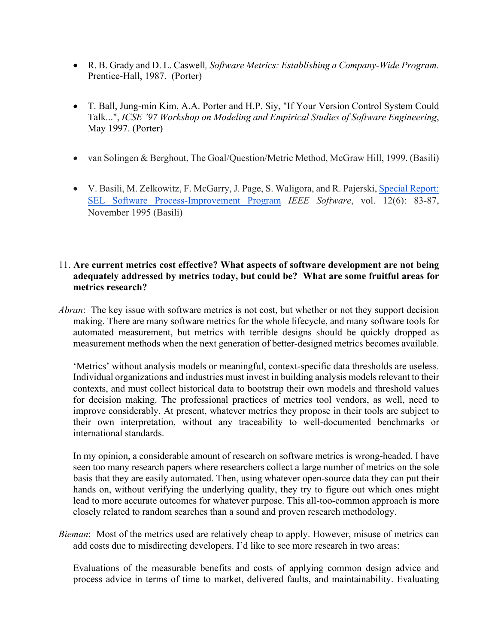- • R. B. Grady and D. L. Caswell*, Software Metrics: Establishing a Company-Wide Program.*  Prentice-Hall, 1987. (Porter)
- • T. Ball, Jung-min Kim, A.A. Porter and H.P. Siy, "If Your Version Control System Could  Talk...", *ICSE '97 Workshop on Modeling and Empirical Studies of Software Engineering*, May 1997. (Porter)
- van Solingen & Berghout, The Goal/Question/Metric Method, McGraw Hill, 1999. (Basili)
- V. Basili, M. Zelkowitz, F. McGarry, J. Page, S. Waligora, and R. Pajerski, Special Report: SEL Software Process-Improvement Program *IEEE Software*, vol. 12(6): 83-87, November 1995 (Basili)

#### 11. **Are current metrics cost effective? What aspects of software development are not being adequately addressed by metrics today, but could be? What are some fruitful areas for metrics research?**

 *Abran*: The key issue with software metrics is not cost, but whether or not they support decision making. There are many software metrics for the whole lifecycle, and many software tools for automated measurement, but metrics with terrible designs should be quickly dropped as measurement methods when the next generation of better-designed metrics becomes available.

 'Metrics' without analysis models or meaningful, context-specific data thresholds are useless. Individual organizations and industries must invest in building analysis models relevant to their contexts, and must collect historical data to bootstrap their own models and threshold values for decision making. The professional practices of metrics tool vendors, as well, need to improve considerably. At present, whatever metrics they propose in their tools are subject to their own interpretation, without any traceability to well-documented benchmarks or international standards.

 In my opinion, a considerable amount of research on software metrics is wrong-headed. I have seen too many research papers where researchers collect a large number of metrics on the sole basis that they are easily automated. Then, using whatever open-source data they can put their hands on, without verifying the underlying quality, they try to figure out which ones might lead to more accurate outcomes for whatever purpose. This all-too-common approach is more closely related to random searches than a sound and proven research methodology.

 *Bieman*: Most of the metrics used are relatively cheap to apply. However, misuse of metrics can add costs due to misdirecting developers. I'd like to see more research in two areas:

 Evaluations of the measurable benefits and costs of applying common design advice and process advice in terms of time to market, delivered faults, and maintainability. Evaluating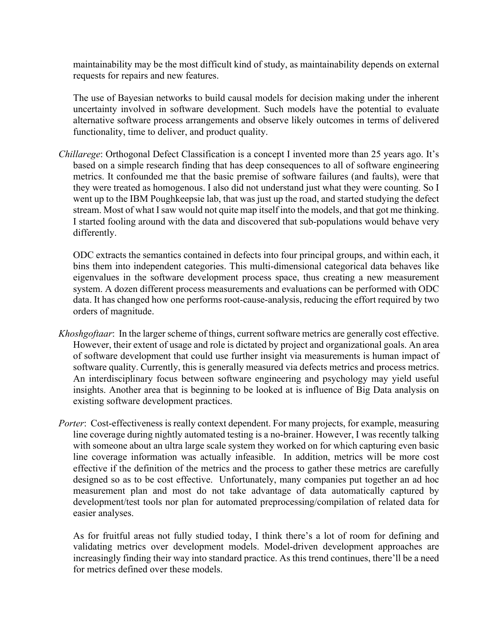maintainability may be the most difficult kind of study, as maintainability depends on external requests for repairs and new features.

 The use of Bayesian networks to build causal models for decision making under the inherent uncertainty involved in software development. Such models have the potential to evaluate alternative software process arrangements and observe likely outcomes in terms of delivered functionality, time to deliver, and product quality.

 *Chillarege*: Orthogonal Defect Classification is a concept I invented more than 25 years ago. It's based on a simple research finding that has deep consequences to all of software engineering metrics. It confounded me that the basic premise of software failures (and faults), were that they were treated as homogenous. I also did not understand just what they were counting. So I went up to the IBM Poughkeepsie lab, that was just up the road, and started studying the defect stream. Most of what I saw would not quite map itself into the models, and that got me thinking. I started fooling around with the data and discovered that sub-populations would behave very differently.

 ODC extracts the semantics contained in defects into four principal groups, and within each, it bins them into independent categories. This multi-dimensional categorical data behaves like eigenvalues in the software development process space, thus creating a new measurement system. A dozen different process measurements and evaluations can be performed with ODC data. It has changed how one performs root-cause-analysis, reducing the effort required by two orders of magnitude.

- *Khoshgoftaar*: In the larger scheme of things, current software metrics are generally cost effective. However, their extent of usage and role is dictated by project and organizational goals. An area of software development that could use further insight via measurements is human impact of software quality. Currently, this is generally measured via defects metrics and process metrics. insights. Another area that is beginning to be looked at is influence of Big Data analysis on An interdisciplinary focus between software engineering and psychology may yield useful existing software development practices.
- *Porter*: Cost-effectiveness is really context dependent. For many projects, for example, measuring line coverage during nightly automated testing is a no-brainer. However, I was recently talking with someone about an ultra large scale system they worked on for which capturing even basic line coverage information was actually infeasible. In addition, metrics will be more cost effective if the definition of the metrics and the process to gather these metrics are carefully designed so as to be cost effective. Unfortunately, many companies put together an ad hoc measurement plan and most do not take advantage of data automatically captured by development/test tools nor plan for automated preprocessing/compilation of related data for easier analyses.

 validating metrics over development models. Model-driven development approaches are increasingly finding their way into standard practice. As this trend continues, there'll be a need As for fruitful areas not fully studied today, I think there's a lot of room for defining and for metrics defined over these models.